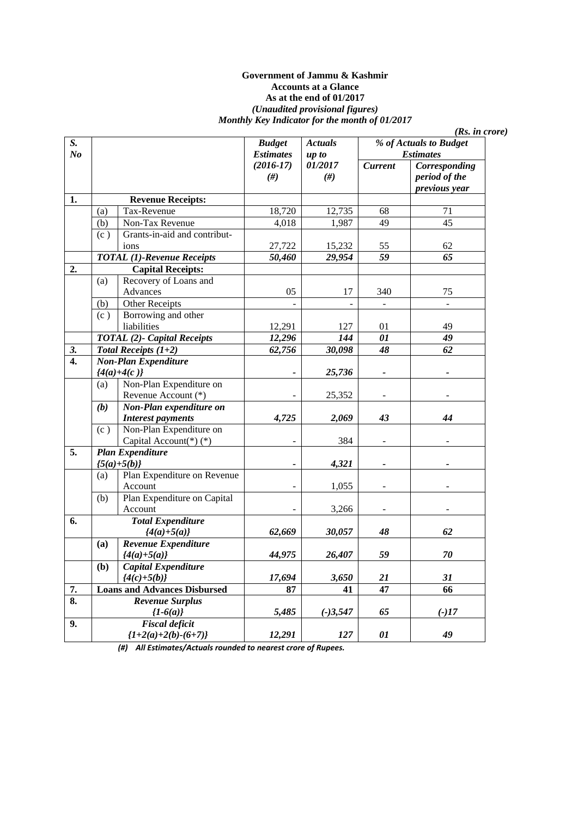#### **Government of Jammu & Kashmir Accounts at a Glance As at the end of 01/2017**  *(Unaudited provisional figures) Monthly Key Indicator for the month of 01/2017*

| S.             |     |                                     | <b>Budget</b>            | <b>Actuals</b> | % of Actuals to Budget |                  |
|----------------|-----|-------------------------------------|--------------------------|----------------|------------------------|------------------|
| N <sub>o</sub> |     |                                     | <b>Estimates</b>         | up to          |                        | <b>Estimates</b> |
|                |     |                                     | $(2016-17)$              | 01/2017        | <b>Current</b>         | Corresponding    |
|                |     |                                     | #)                       | $(\#)$         |                        | period of the    |
|                |     |                                     |                          |                |                        | previous year    |
| 1.             |     | <b>Revenue Receipts:</b>            |                          |                |                        |                  |
|                | (a) | Tax-Revenue                         | 18,720                   | 12,735         | 68                     | 71               |
|                | (b) | Non-Tax Revenue                     | 4,018                    | 1,987          | 49                     | 45               |
|                | (c) | Grants-in-aid and contribut-        |                          |                |                        |                  |
|                |     | ions                                | 27,722                   | 15,232         | 55                     | 62               |
|                |     | <b>TOTAL (1)-Revenue Receipts</b>   | 50,460                   | 29,954         | 59                     | $\overline{65}$  |
| 2.             |     | <b>Capital Receipts:</b>            |                          |                |                        |                  |
|                | (a) | Recovery of Loans and               |                          |                |                        |                  |
|                |     | Advances                            | 05                       | 17             | 340                    | 75               |
|                | (b) | Other Receipts                      |                          |                |                        |                  |
|                | (c) | Borrowing and other                 |                          |                |                        |                  |
|                |     | liabilities                         | 12,291                   | 127            | 01                     | 49               |
|                |     | <b>TOTAL</b> (2)- Capital Receipts  | 12,296                   | 144            | $\overline{01}$        | 49               |
| 3.             |     | Total Receipts $(1+2)$              | 62,756                   | 30,098         | 48                     | 62               |
| 4.             |     | <b>Non-Plan Expenditure</b>         |                          |                |                        |                  |
|                |     | ${4(a)+4(c)}$                       |                          | 25,736         |                        |                  |
|                | (a) | Non-Plan Expenditure on             |                          |                |                        |                  |
|                |     | Revenue Account (*)                 |                          | 25,352         |                        |                  |
|                | (b) | Non-Plan expenditure on             |                          |                |                        |                  |
|                |     | <b>Interest payments</b>            | 4,725                    | 2,069          | 43                     | 44               |
|                | (c) | Non-Plan Expenditure on             |                          |                |                        |                  |
|                |     | Capital Account(*) $(*)$            | L,                       | 384            |                        |                  |
| 5.             |     | <b>Plan Expenditure</b>             |                          |                |                        |                  |
|                |     | ${5(a)+5(b)}$                       | $\overline{\phantom{0}}$ | 4,321          |                        |                  |
|                | (a) | Plan Expenditure on Revenue         |                          |                |                        |                  |
|                |     | Account                             |                          | 1,055          |                        |                  |
|                | (b) | Plan Expenditure on Capital         |                          |                |                        |                  |
|                |     | Account                             |                          | 3,266          |                        |                  |
| 6.             |     | <b>Total Expenditure</b>            |                          |                |                        |                  |
|                |     | ${4(a)+5(a)}$                       | 62,669                   | 30,057         | 48                     | 62               |
|                | (a) | Revenue Expenditure                 |                          |                |                        |                  |
|                |     | ${4(a)+5(a)}$                       | 44,975                   | 26,407         | 59                     | 70               |
|                | (b) | Capital Expenditure                 |                          |                |                        |                  |
|                |     | ${4(c)+5(b)}$                       | 17,694                   | 3,650          | 21                     | 31               |
| 7.             |     | <b>Loans and Advances Disbursed</b> | 87                       | 41             | 47                     | 66               |
| 8.             |     | <b>Revenue Surplus</b>              |                          |                |                        |                  |
|                |     | ${1-6(a)}$                          | 5,485                    | $(-)3,547$     | 65                     | $(-)17$          |
| 9.             |     | <b>Fiscal deficit</b>               |                          |                |                        |                  |
|                |     | ${1+2(a)+2(b)-(6+7)}$               | 12,291                   | 127            | 01                     | 49               |
|                |     |                                     |                          |                |                        |                  |

*(Rs. in crore)* 

*(#) All Estimates/Actuals rounded to nearest crore of Rupees.*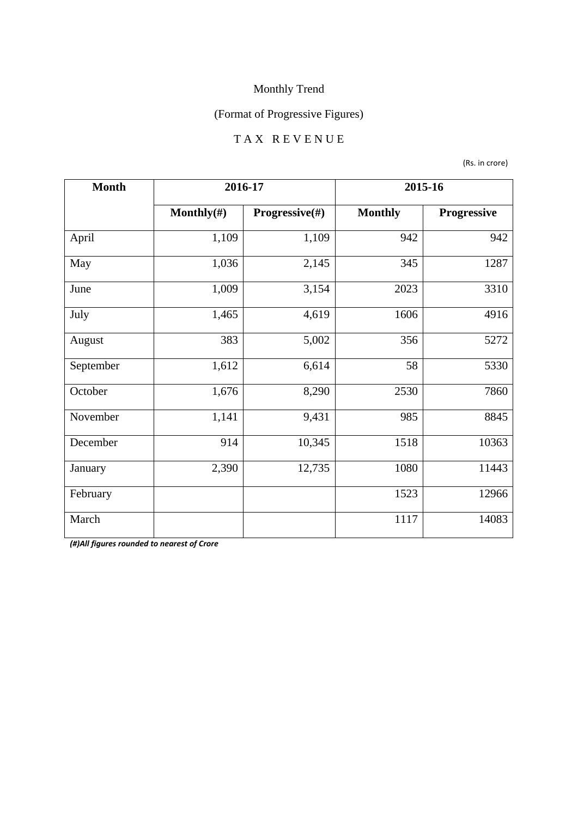### (Format of Progressive Figures)

## T A X R E V E N U E

(Rs. in crore)

| <b>Month</b> | 2016-17        |                |                | 2015-16     |
|--------------|----------------|----------------|----------------|-------------|
|              | Monthly $(\#)$ | Progressive(#) | <b>Monthly</b> | Progressive |
| April        | 1,109          | 1,109          | 942            | 942         |
| May          | 1,036          | 2,145          | 345            | 1287        |
| June         | 1,009          | 3,154          | 2023           | 3310        |
| July         | 1,465          | 4,619          | 1606           | 4916        |
| August       | 383            | 5,002          | 356            | 5272        |
| September    | 1,612          | 6,614          | 58             | 5330        |
| October      | 1,676          | 8,290          | 2530           | 7860        |
| November     | 1,141          | 9,431          | 985            | 8845        |
| December     | 914            | 10,345         | 1518           | 10363       |
| January      | 2,390          | 12,735         | 1080           | 11443       |
| February     |                |                | 1523           | 12966       |
| March        |                |                | 1117           | 14083       |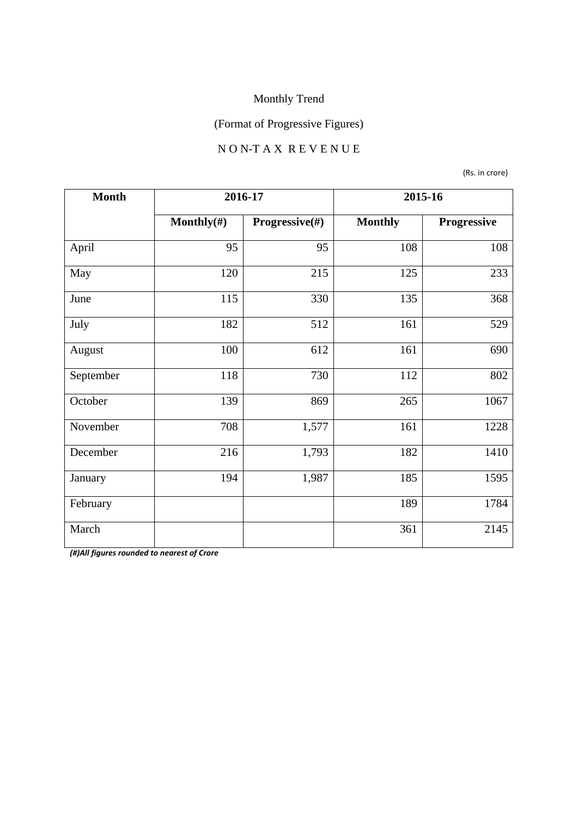## (Format of Progressive Figures)

#### N O N-T A X R E V E N U E

(Rs. in crore)

| <b>Month</b> | 2016-17        |                | 2015-16        |             |
|--------------|----------------|----------------|----------------|-------------|
|              | Monthly $(\#)$ | Progressive(#) | <b>Monthly</b> | Progressive |
| April        | 95             | 95             | 108            | 108         |
| May          | 120            | 215            | 125            | 233         |
| June         | 115            | 330            | 135            | 368         |
| July         | 182            | 512            | 161            | 529         |
| August       | 100            | 612            | 161            | 690         |
| September    | 118            | 730            | 112            | 802         |
| October      | 139            | 869            | 265            | 1067        |
| November     | 708            | 1,577          | 161            | 1228        |
| December     | 216            | 1,793          | 182            | 1410        |
| January      | 194            | 1,987          | 185            | 1595        |
| February     |                |                | 189            | 1784        |
| March        |                |                | 361            | 2145        |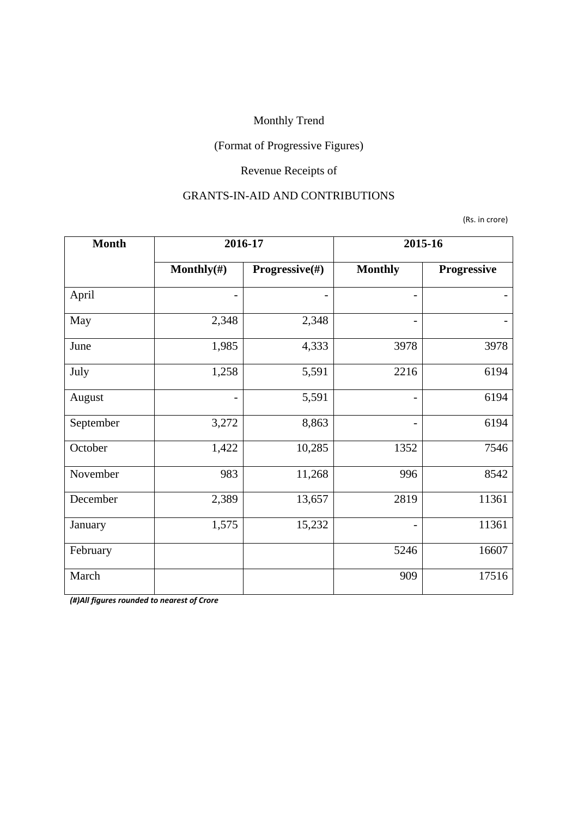## (Format of Progressive Figures)

## Revenue Receipts of

#### GRANTS-IN-AID AND CONTRIBUTIONS

(Rs. in crore)

| <b>Month</b> | 2016-17        |                | 2015-16                  |             |
|--------------|----------------|----------------|--------------------------|-------------|
|              | Monthly $(\#)$ | Progressive(#) | <b>Monthly</b>           | Progressive |
| April        |                |                |                          |             |
| May          | 2,348          | 2,348          |                          |             |
| June         | 1,985          | 4,333          | 3978                     | 3978        |
| July         | 1,258          | 5,591          | 2216                     | 6194        |
| August       | $\overline{a}$ | 5,591          | $\overline{\phantom{0}}$ | 6194        |
| September    | 3,272          | 8,863          |                          | 6194        |
| October      | 1,422          | 10,285         | 1352                     | 7546        |
| November     | 983            | 11,268         | 996                      | 8542        |
| December     | 2,389          | 13,657         | 2819                     | 11361       |
| January      | 1,575          | 15,232         |                          | 11361       |
| February     |                |                | 5246                     | 16607       |
| March        |                |                | 909                      | 17516       |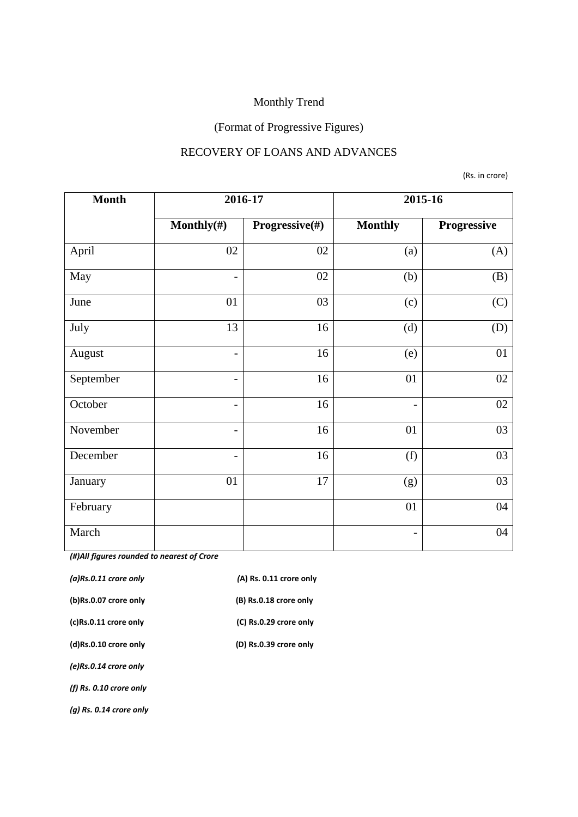# (Format of Progressive Figures)

#### RECOVERY OF LOANS AND ADVANCES

(Rs. in crore)

| <b>Month</b> | 2016-17                  |                | 2015-16                  |             |
|--------------|--------------------------|----------------|--------------------------|-------------|
|              | Monthly $(\#)$           | Progressive(#) | <b>Monthly</b>           | Progressive |
| April        | 02                       | 02             | (a)                      | (A)         |
| May          | $\overline{\phantom{a}}$ | 02             | (b)                      | (B)         |
| June         | 01                       | 03             | (c)                      | (C)         |
| July         | 13                       | 16             | (d)                      | (D)         |
| August       | $\overline{\phantom{a}}$ | 16             | (e)                      | 01          |
| September    | $\overline{\phantom{a}}$ | 16             | 01                       | 02          |
| October      | $\overline{\phantom{a}}$ | 16             | $\overline{\phantom{a}}$ | 02          |
| November     | $\overline{\phantom{a}}$ | 16             | 01                       | 03          |
| December     | $\qquad \qquad -$        | 16             | (f)                      | 03          |
| January      | 01                       | 17             | (g)                      | 03          |
| February     |                          |                | 01                       | 04          |
| March        |                          |                | $\overline{a}$           | 04          |

| $(a)$ Rs.0.11 crore only  | (A) Rs. 0.11 crore only |
|---------------------------|-------------------------|
| (b)Rs.0.07 crore only     | (B) Rs.0.18 crore only  |
| (c)Rs.0.11 crore only     | (C) Rs.0.29 crore only  |
| (d)Rs.0.10 crore only     | (D) Rs.0.39 crore only  |
| (e)Rs.0.14 crore only     |                         |
| (f) $Rs. 0.10$ crore only |                         |
| $(q)$ Rs. 0.14 crore only |                         |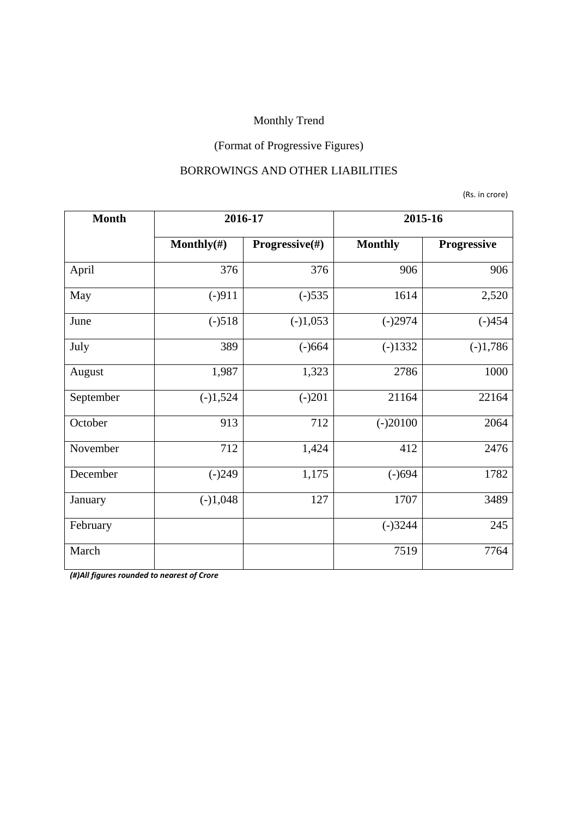## (Format of Progressive Figures)

#### BORROWINGS AND OTHER LIABILITIES

(Rs. in crore)

| <b>Month</b> | 2016-17        |                | 2015-16        |             |
|--------------|----------------|----------------|----------------|-------------|
|              | Monthly $(\#)$ | Progressive(#) | <b>Monthly</b> | Progressive |
| April        | 376            | 376            | 906            | 906         |
| May          | $(-)911$       | $(-)535$       | 1614           | 2,520       |
| June         | $(-)518$       | $(-)1,053$     | $(-)2974$      | $(-)454$    |
| July         | 389            | $(-)664$       | $(-)1332$      | $(-)1,786$  |
| August       | 1,987          | 1,323          | 2786           | 1000        |
| September    | $(-)1,524$     | $(-)201$       | 21164          | 22164       |
| October      | 913            | 712            | $(-)20100$     | 2064        |
| November     | 712            | 1,424          | 412            | 2476        |
| December     | $(-)249$       | 1,175          | $(-)694$       | 1782        |
| January      | $(-)1,048$     | 127            | 1707           | 3489        |
| February     |                |                | $(-)3244$      | 245         |
| March        |                |                | 7519           | 7764        |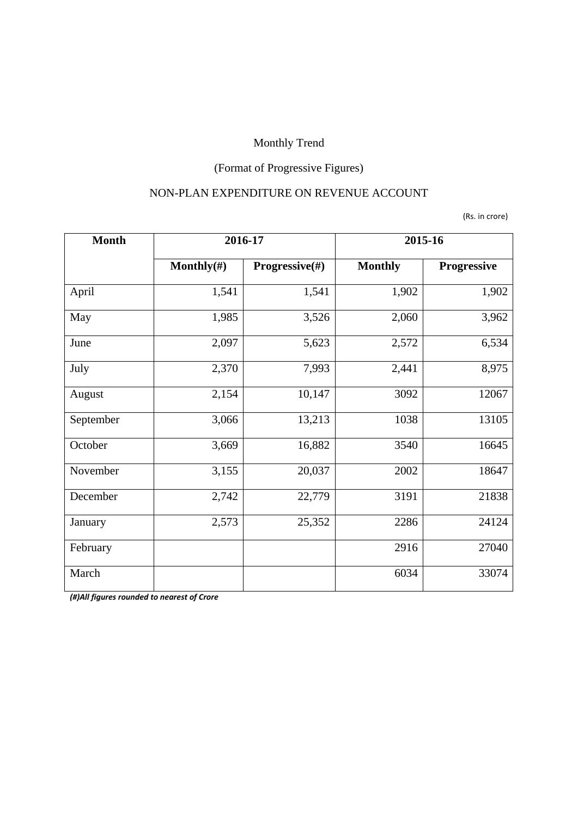## (Format of Progressive Figures)

#### NON-PLAN EXPENDITURE ON REVENUE ACCOUNT

(Rs. in crore)

| <b>Month</b> | 2016-17        |                           | 2015-16        |             |
|--------------|----------------|---------------------------|----------------|-------------|
|              | Monthly $(\#)$ | <b>Progressive</b> $(\#)$ | <b>Monthly</b> | Progressive |
| April        | 1,541          | 1,541                     | 1,902          | 1,902       |
| May          | 1,985          | 3,526                     | 2,060          | 3,962       |
| June         | 2,097          | 5,623                     | 2,572          | 6,534       |
| July         | 2,370          | 7,993                     | 2,441          | 8,975       |
| August       | 2,154          | 10,147                    | 3092           | 12067       |
| September    | 3,066          | 13,213                    | 1038           | 13105       |
| October      | 3,669          | 16,882                    | 3540           | 16645       |
| November     | 3,155          | 20,037                    | 2002           | 18647       |
| December     | 2,742          | 22,779                    | 3191           | 21838       |
| January      | 2,573          | 25,352                    | 2286           | 24124       |
| February     |                |                           | 2916           | 27040       |
| March        |                |                           | 6034           | 33074       |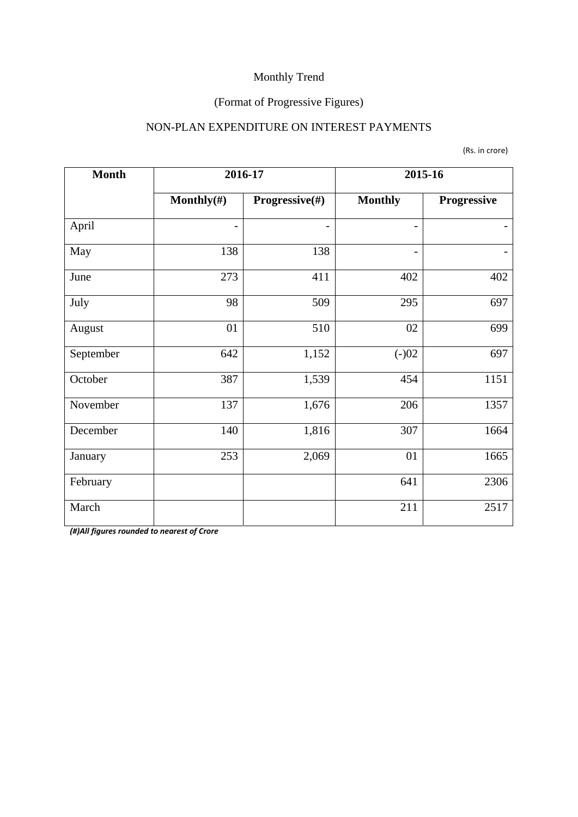### (Format of Progressive Figures)

#### NON-PLAN EXPENDITURE ON INTEREST PAYMENTS

(Rs. in crore)

| <b>Month</b> | 2016-17        |                | 2015-16                  |             |
|--------------|----------------|----------------|--------------------------|-------------|
|              | Monthly $(\#)$ | Progressive(#) | <b>Monthly</b>           | Progressive |
| April        |                |                | $\overline{\phantom{a}}$ |             |
| May          | 138            | 138            | $\overline{\phantom{a}}$ |             |
| June         | 273            | 411            | 402                      | 402         |
| July         | 98             | 509            | 295                      | 697         |
| August       | 01             | 510            | 02                       | 699         |
| September    | 642            | 1,152          | $(-)02$                  | 697         |
| October      | 387            | 1,539          | 454                      | 1151        |
| November     | 137            | 1,676          | 206                      | 1357        |
| December     | 140            | 1,816          | 307                      | 1664        |
| January      | 253            | 2,069          | 01                       | 1665        |
| February     |                |                | 641                      | 2306        |
| March        |                |                | 211                      | 2517        |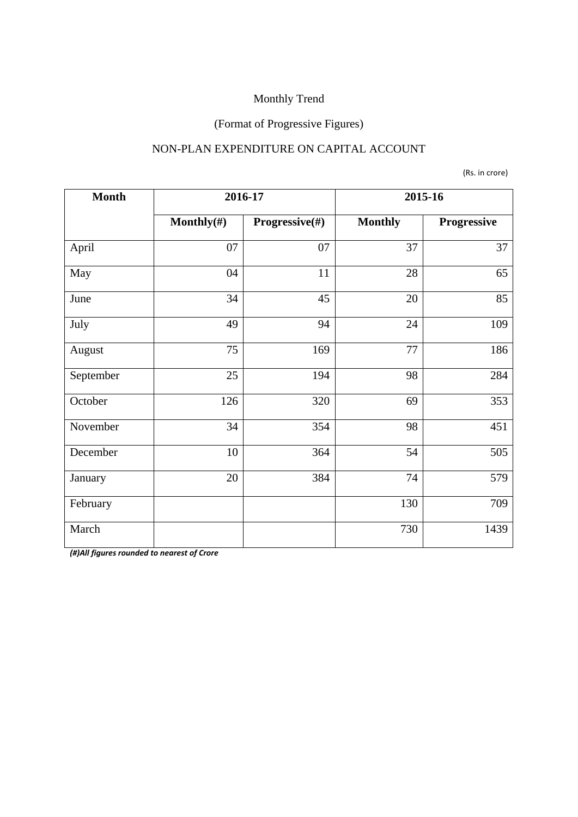### (Format of Progressive Figures)

#### NON-PLAN EXPENDITURE ON CAPITAL ACCOUNT

(Rs. in crore)

| <b>Month</b> | 2016-17        |                | 2015-16        |             |
|--------------|----------------|----------------|----------------|-------------|
|              | Monthly $(\#)$ | Progressive(#) | <b>Monthly</b> | Progressive |
| April        | 07             | 07             | 37             | 37          |
| May          | 04             | 11             | 28             | 65          |
| June         | 34             | 45             | 20             | 85          |
| July         | 49             | 94             | 24             | 109         |
| August       | 75             | 169            | 77             | 186         |
| September    | 25             | 194            | 98             | 284         |
| October      | 126            | 320            | 69             | 353         |
| November     | 34             | 354            | 98             | 451         |
| December     | 10             | 364            | 54             | 505         |
| January      | 20             | 384            | 74             | 579         |
| February     |                |                | 130            | 709         |
| March        |                |                | 730            | 1439        |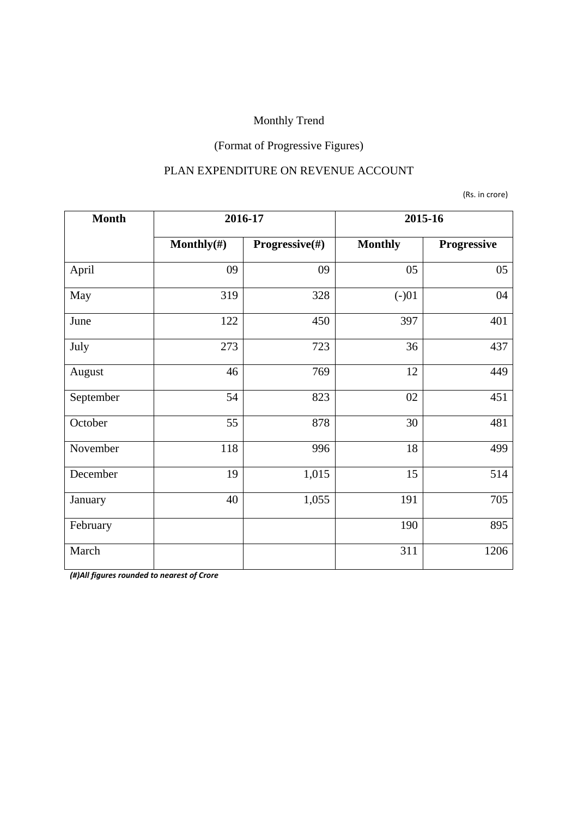## (Format of Progressive Figures)

#### PLAN EXPENDITURE ON REVENUE ACCOUNT

(Rs. in crore)

| <b>Month</b> | 2016-17        |                | 2015-16        |             |
|--------------|----------------|----------------|----------------|-------------|
|              | Monthly $(\#)$ | Progressive(#) | <b>Monthly</b> | Progressive |
| April        | 09             | 09             | 05             | 05          |
| May          | 319            | 328            | $(-)01$        | 04          |
| June         | 122            | 450            | 397            | 401         |
| July         | 273            | 723            | 36             | 437         |
| August       | 46             | 769            | 12             | 449         |
| September    | 54             | 823            | 02             | 451         |
| October      | 55             | 878            | 30             | 481         |
| November     | 118            | 996            | 18             | 499         |
| December     | 19             | 1,015          | 15             | 514         |
| January      | 40             | 1,055          | 191            | 705         |
| February     |                |                | 190            | 895         |
| March        |                |                | 311            | 1206        |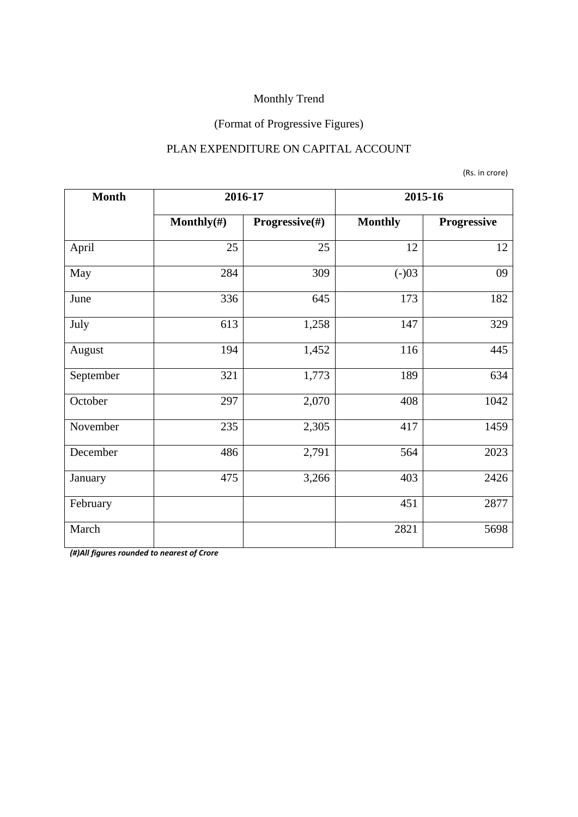### (Format of Progressive Figures)

#### PLAN EXPENDITURE ON CAPITAL ACCOUNT

(Rs. in crore)

| <b>Month</b> | 2016-17        |                | 2015-16        |             |
|--------------|----------------|----------------|----------------|-------------|
|              | Monthly $(\#)$ | Progressive(#) | <b>Monthly</b> | Progressive |
| April        | 25             | 25             | 12             | 12          |
| May          | 284            | 309            | $(-)03$        | 09          |
| June         | 336            | 645            | 173            | 182         |
| July         | 613            | 1,258          | 147            | 329         |
| August       | 194            | 1,452          | 116            | 445         |
| September    | 321            | 1,773          | 189            | 634         |
| October      | 297            | 2,070          | 408            | 1042        |
| November     | 235            | 2,305          | 417            | 1459        |
| December     | 486            | 2,791          | 564            | 2023        |
| January      | 475            | 3,266          | 403            | 2426        |
| February     |                |                | 451            | 2877        |
| March        |                |                | 2821           | 5698        |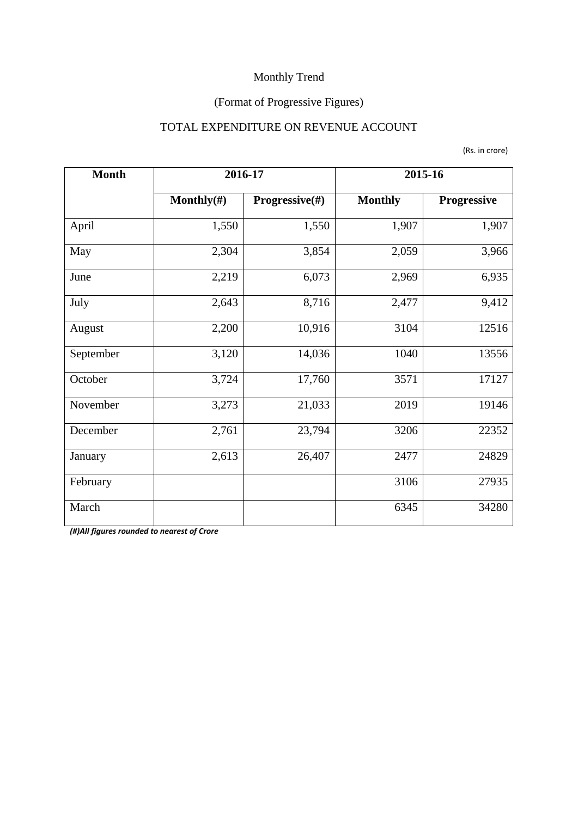### (Format of Progressive Figures)

#### TOTAL EXPENDITURE ON REVENUE ACCOUNT

| <b>Month</b>  | 2016-17        |                | 2015-16        |             |  |
|---------------|----------------|----------------|----------------|-------------|--|
|               | Monthly $(\#)$ | Progressive(#) | <b>Monthly</b> | Progressive |  |
| April         | 1,550          | 1,550          | 1,907          | 1,907       |  |
| 2,304<br>May  |                | 3,854          | 2,059          | 3,966       |  |
| June          | 2,219          | 6,073          | 2,969          | 6,935       |  |
| 2,643<br>July |                | 8,716          | 2,477          | 9,412       |  |
| August        | 2,200          | 10,916         | 3104           | 12516       |  |
| September     | 3,120          | 14,036         | 1040           | 13556       |  |
| October       | 3,724          | 17,760         | 3571           | 17127       |  |
| November      | 3,273          | 21,033         | 2019           | 19146       |  |
| December      | 2,761          | 23,794         | 3206           | 22352       |  |
| January       | 2,613          | 26,407         | 2477           | 24829       |  |
| February      |                |                | 3106           | 27935       |  |
| March         |                |                | 6345           | 34280       |  |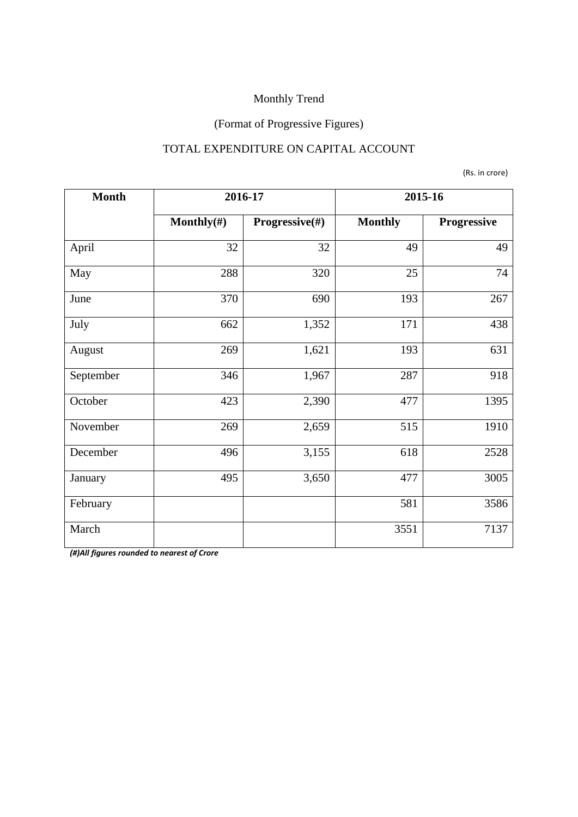### (Format of Progressive Figures)

#### TOTAL EXPENDITURE ON CAPITAL ACCOUNT

(Rs. in crore)

| <b>Month</b> | 2016-17        |                | 2015-16        |             |  |
|--------------|----------------|----------------|----------------|-------------|--|
|              | Monthly $(\#)$ | Progressive(#) | <b>Monthly</b> | Progressive |  |
| April        | 32             | 32             | 49             | 49          |  |
| May          | 288            | 320            | 25             | 74          |  |
| June         | 370            | 690            | 193            | 267         |  |
| July         | 662            | 1,352          | 171            | 438         |  |
| August       | 269            | 1,621          | 193            | 631         |  |
| September    | 346            | 1,967          | 287            | 918         |  |
| October      | 423            | 2,390          | 477            | 1395        |  |
| November     | 269            | 2,659          | 515            | 1910        |  |
| December     | 496            | 3,155          | 618            | 2528        |  |
| January      | 495            | 3,650          | 477            | 3005        |  |
| February     |                |                | 581            | 3586        |  |
| March        |                |                | 3551           | 7137        |  |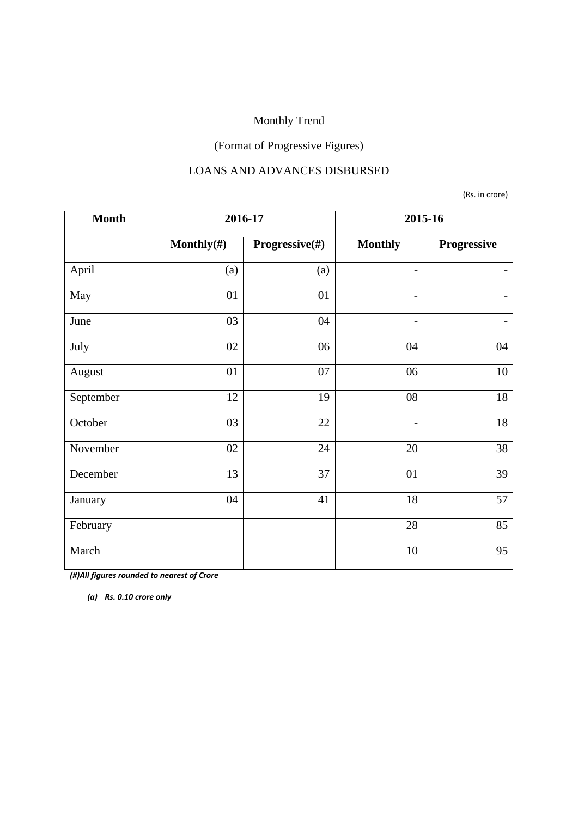### (Format of Progressive Figures)

#### LOANS AND ADVANCES DISBURSED

(Rs. in crore)

| <b>Month</b>     | 2016-17        |                | 2015-16                  |                   |  |
|------------------|----------------|----------------|--------------------------|-------------------|--|
|                  | Monthly $(\#)$ | Progressive(#) | <b>Monthly</b>           | Progressive       |  |
| April            | (a)            | (a)            | -                        |                   |  |
| May              | 01             | 01             | $\overline{\phantom{a}}$ |                   |  |
| June             | 03             | 04             | -                        | $\qquad \qquad -$ |  |
| July<br>02<br>06 |                | 04             | 04                       |                   |  |
| August           | 01             | 07             | 06                       | 10                |  |
| September        | 12             | 19             | 08                       | 18                |  |
| October          | 03             | 22             | $\qquad \qquad -$        | 18                |  |
| November         | 02             | 24             | 20                       | 38                |  |
| December         | 13             | 37             | 01                       | 39                |  |
| January          | 04             | 41             | 18                       | 57                |  |
| February         |                |                | 28                       | 85                |  |
| March            |                |                | 10                       | 95                |  |

*(#)All figures rounded to nearest of Crore* 

*(a) Rs. 0.10 crore only*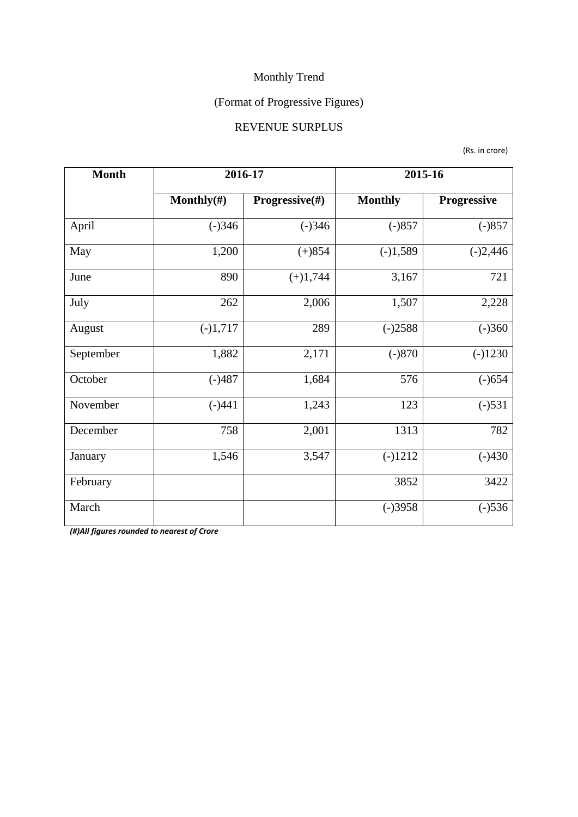### (Format of Progressive Figures)

#### REVENUE SURPLUS

(Rs. in crore)

| <b>Month</b> | 2016-17        |                | 2015-16        |             |  |
|--------------|----------------|----------------|----------------|-------------|--|
|              | Monthly $(\#)$ | Progressive(#) | <b>Monthly</b> | Progressive |  |
| April        | $(-)346$       | $(-)346$       | $(-)857$       | $(-)857$    |  |
| May          | 1,200          | $(+)854$       | $(-)1,589$     | $(-)2,446$  |  |
| June         | 890            |                | 3,167          | 721         |  |
| 262<br>July  |                | 2,006          | 1,507          | 2,228       |  |
| August       | $(-)1,717$     | 289            | $(-)2588$      | $(-)360$    |  |
| September    | 1,882          | 2,171          | $(-)870$       | $(-)1230$   |  |
| October      | $(-)487$       | 1,684          | 576            | $(-)654$    |  |
| November     | $(-)441$       | 1,243          | 123            | $(-)531$    |  |
| December     | 758            | 2,001          | 1313           | 782         |  |
| January      | 1,546          | 3,547          | $(-)1212$      | $(-)430$    |  |
| February     |                |                | 3852           | 3422        |  |
| March        |                |                | $(-)3958$      | $(-)536$    |  |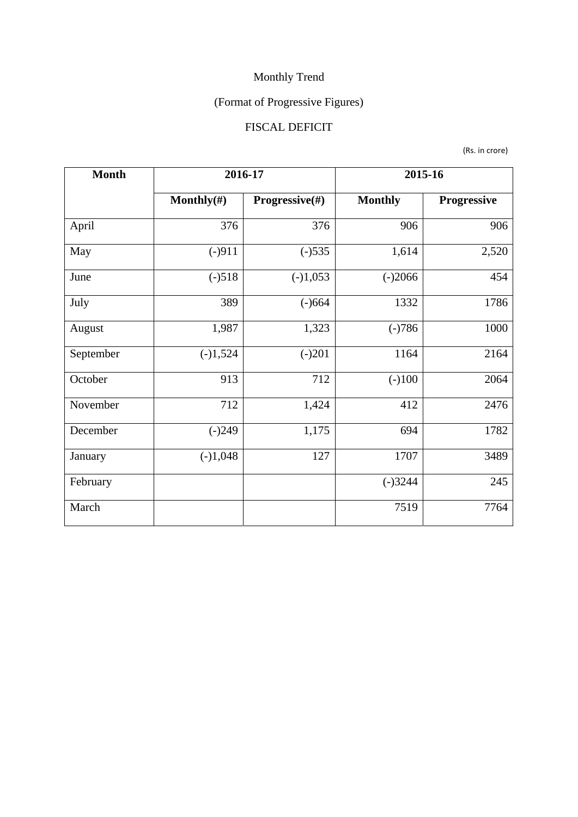## (Format of Progressive Figures)

### FISCAL DEFICIT

(Rs. in crore)

| <b>Month</b>    | 2016-17        |                           | 2015-16        |             |  |
|-----------------|----------------|---------------------------|----------------|-------------|--|
|                 | Monthly $(\#)$ | <b>Progressive</b> $(\#)$ | <b>Monthly</b> | Progressive |  |
| April           | 376            | 376                       | 906            | 906         |  |
| $(-)911$<br>May |                | $(-)535$                  | 1,614          | 2,520       |  |
| June            | $(-)518$       | $(-)1,053$                | $(-)2066$      | 454         |  |
| July            | 389            |                           | 1332           | 1786        |  |
| August          | 1,987          | 1,323                     | $(-)786$       | 1000        |  |
| September       | $(-)1,524$     | $(-)201$                  | 1164           | 2164        |  |
| October         | 913            | 712                       | $(-100)$       | 2064        |  |
| November        | 712            | 1,424                     | 412            | 2476        |  |
| December        | $(-)249$       | 1,175                     | 694            | 1782        |  |
| January         | $(-)1,048$     | 127                       | 1707           | 3489        |  |
| February        |                |                           | $(-)3244$      | 245         |  |
| March           |                |                           | 7519           | 7764        |  |